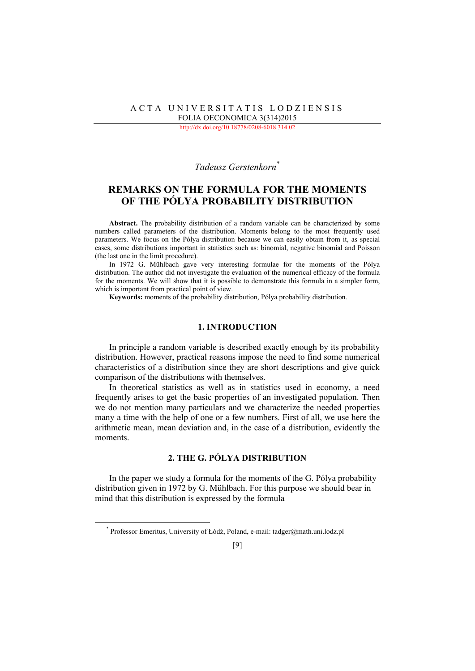### ACTA UNIVERSITATIS LODZIENSIS FOLIA OECONOMICA 3(314)2015

http://dx.doi.org/10.18778/0208-6018.314.02

# *Tadeusz Gerstenkorn*[\\*](#page-0-0)

# **REMARKS ON THE FORMULA FOR THE MOMENTS OF THE PÓLYA PROBABILITY DISTRIBUTION**

**Abstract.** The probability distribution of a random variable can be characterized by some numbers called parameters of the distribution. Moments belong to the most frequently used parameters. We focus on the Pólya distribution because we can easily obtain from it, as special cases, some distributions important in statistics such as: binomial, negative binomial and Poisson (the last one in the limit procedure).

In 1972 G. Mühlbach gave very interesting formulae for the moments of the Pólya distribution. The author did not investigate the evaluation of the numerical efficacy of the formula for the moments. We will show that it is possible to demonstrate this formula in a simpler form, which is important from practical point of view.

**Keywords:** moments of the probability distribution, Pólya probability distribution.

## **1. INTRODUCTION**

In principle a random variable is described exactly enough by its probability distribution. However, practical reasons impose the need to find some numerical characteristics of a distribution since they are short descriptions and give quick comparison of the distributions with themselves.

In theoretical statistics as well as in statistics used in economy, a need frequently arises to get the basic properties of an investigated population. Then we do not mention many particulars and we characterize the needed properties many a time with the help of one or a few numbers. First of all, we use here the arithmetic mean, mean deviation and, in the case of a distribution, evidently the moments.

# **2. THE G. PÓLYA DISTRIBUTION**

In the paper we study a formula for the moments of the G. Pólya probability distribution given in 1972 by G. Mühlbach. For this purpose we should bear in mind that this distribution is expressed by the formula

<span id="page-0-0"></span>l

<sup>\*</sup> Professor Emeritus, University of Łódź, Poland, e-mail: tadger@math.uni.lodz.pl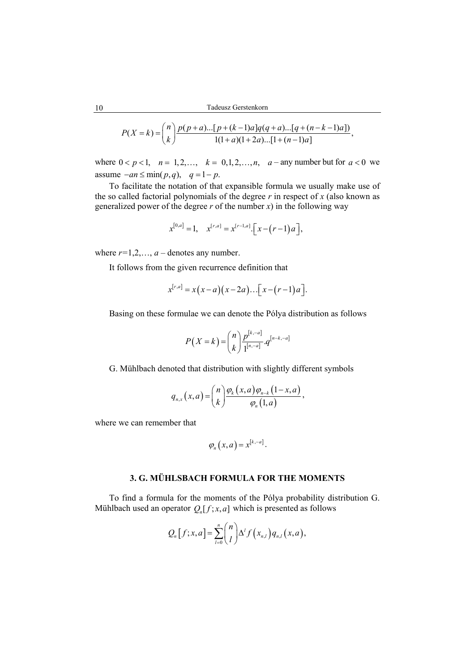$$
P(X = k) = {n \choose k} \frac{p(p+a)...[p+(k-1)a]q(q+a)...[q+(n-k-1)a]}{1(1+a)(1+2a)...[1+(n-1)a]},
$$

where  $0 < p < 1$ ,  $n = 1, 2, ..., k = 0, 1, 2, ..., n$ ,  $a$  - any number but for  $a < 0$  we assume  $-an \le min(p, q)$ ,  $q = 1 - p$ .

To facilitate the notation of that expansible formula we usually make use of the so called factorial polynomials of the degree *r* in respect of *x* (also known as generalized power of the degree  $r$  of the number  $x$ ) in the following way

$$
x^{[0,a]} = 1
$$
,  $x^{[r,a]} = x^{[r-1,a]} \cdot [x - (r-1)a]$ ,

where  $r=1,2,\ldots, a-$  denotes any number.

It follows from the given recurrence definition that

$$
x^{[r,a]} = x(x-a)(x-2a)...[x-(r-1)a].
$$

Basing on these formulae we can denote the Pólya distribution as follows

$$
P(X = k) = {n \choose k} \frac{p^{[k,-a]}}{1^{[n,-a]}} \cdot q^{[n-k,-a]}
$$

G. Mühlbach denoted that distribution with slightly different symbols

$$
q_{n,x}(x,a) = {n \choose k} \frac{\varphi_k(x,a) \varphi_{n-k}(1-x,a)}{\varphi_n(1,a)},
$$

where we can remember that

$$
\varphi_n(x,a)=x^{[k,-a]}.
$$

## **3. G. MÜHLSBACH FORMULA FOR THE MOMENTS**

To find a formula for the moments of the Pólya probability distribution G. Mühlbach used an operator  $Q_n[f; x, a]$  which is presented as follows

$$
Q_n[f;x,a] = \sum_{l=0}^n {n \choose l} \Delta^l f(x_{n,l}) q_{n,l}(x,a),
$$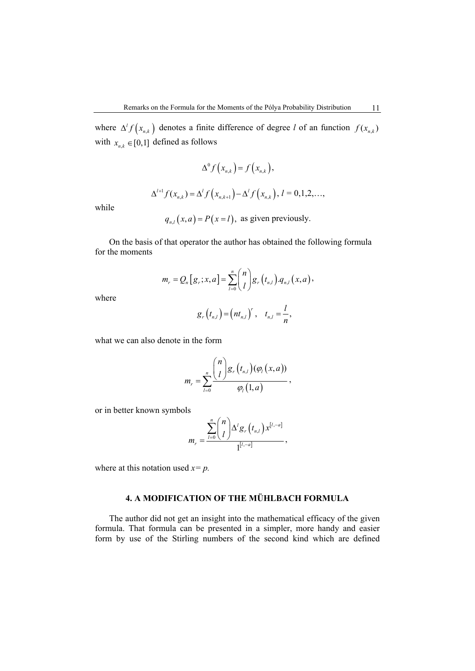where  $\Delta^l f(x_{n,k})$  denotes a finite difference of degree *l* of an function  $f(x_{n,k})$ with  $x_{n,k} \in [0,1]$  defined as follows

$$
\Delta^0 f\big(x_{n,k}\big) = f\big(x_{n,k}\big),
$$

$$
\Delta^{l+1} f(x_{n,k}) = \Delta^l f(x_{n,k+1}) - \Delta^l f(x_{n,k}), l = 0,1,2,\ldots,
$$

while

 $q_{n,l}(x, a) = P(x = l)$ , as given previously.

On the basis of that operator the author has obtained the following formula for the moments

$$
m_r = Q_n[g_r; x, a] = \sum_{l=0}^n {n \choose l} g_r(t_{n,l}) \cdot q_{n,l}(x, a),
$$

where

$$
g_r(t_{n,l})=(nt_{n,l})^r, t_{n,l}=\frac{l}{n},
$$

what we can also denote in the form

$$
m_r = \sum_{l=0}^n \frac{{\binom{n}{l}} g_r(t_{n,l}) (\varphi_l(x,a))}{\varphi_l(1,a)},
$$

or in better known symbols

$$
m_r = \frac{\sum_{l=0}^n \binom{n}{l} \Delta^l g_r(t_{n,l}) x^{[l,-a]}}{1^{[l,-a]}},
$$

where at this notation used  $x = p$ .

# **4. A MODIFICATION OF THE MÜHLBACH FORMULA**

The author did not get an insight into the mathematical efficacy of the given formula. That formula can be presented in a simpler, more handy and easier form by use of the Stirling numbers of the second kind which are defined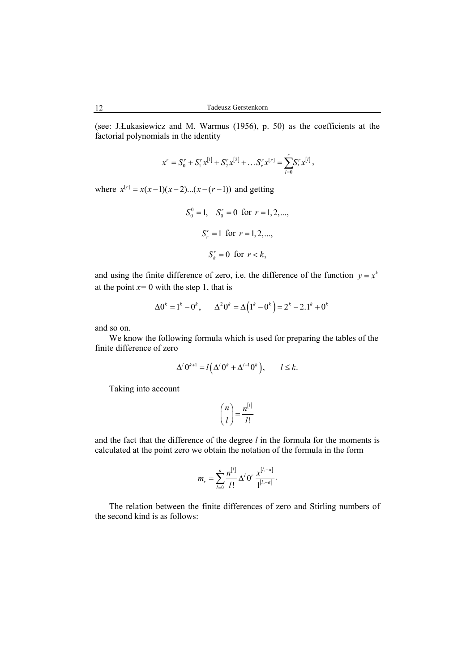(see: J.Łukasiewicz and M. Warmus (1956), p. 50) as the coefficients at the factorial polynomials in the identity

$$
x^{r} = S_{0}^{r} + S_{1}^{r} x^{[1]} + S_{2}^{r} x^{[2]} + \dots S_{r}^{r} x^{[r]} = \sum_{l=0}^{r} S_{l}^{r} x^{[l]},
$$

where  $x^{[r]} = x(x-1)(x-2)...(x-(r-1))$  and getting

$$
S_0^0 = 1
$$
,  $S_0^r = 0$  for  $r = 1, 2, ...,$   
 $S_r^r = 1$  for  $r = 1, 2, ...,$   
 $S_k^r = 0$  for  $r < k$ ,

and using the finite difference of zero, i.e. the difference of the function  $y = x^k$ at the point  $x=0$  with the step 1, that is

$$
\Delta 0^k = 1^k - 0^k, \qquad \Delta^2 0^k = \Delta (1^k - 0^k) = 2^k - 2 \cdot 1^k + 0^k
$$

and so on.

We know the following formula which is used for preparing the tables of the finite difference of zero

$$
\Delta^l 0^{k+1} = l \Big( \Delta^l 0^k + \Delta^{l-1} 0^k \Big), \qquad l \leq k.
$$

Taking into account

$$
\binom{n}{l} = \frac{n^{[l]}}{l!}
$$

and the fact that the difference of the degree *l* in the formula for the moments is calculated at the point zero we obtain the notation of the formula in the form

$$
m_r = \sum_{l=0}^n \frac{n^{[l]}}{l!} \Delta^l 0^r \frac{x^{[l,-a]}}{1^{[l,-a]}}.
$$

The relation between the finite differences of zero and Stirling numbers of the second kind is as follows: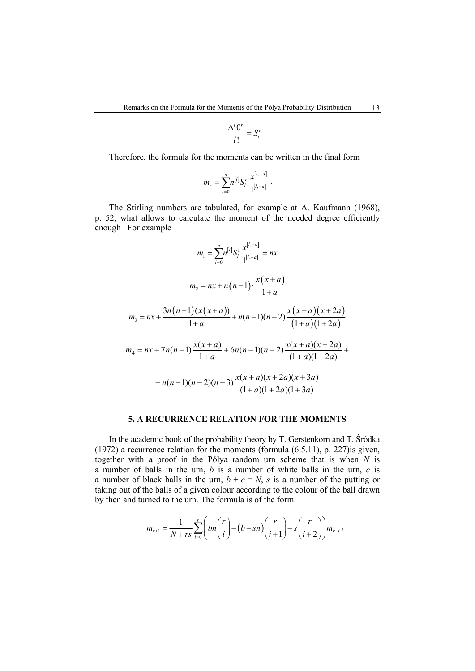$$
\frac{\Delta^l 0^r}{l!} = S_l^r
$$

Therefore, the formula for the moments can be written in the final form

$$
m_r = \sum_{l=0}^n n^{[l]} S_l^r \frac{x^{[l,-a]}}{1^{[l,-a]}}.
$$

The Stirling numbers are tabulated, for example at A. Kaufmann (1968), p. 52, what allows to calculate the moment of the needed degree efficiently enough . For example

$$
m_1 = \sum_{l=0}^{n} n^{\lfloor l \rfloor} S_l^1 \frac{x^{\lfloor l, -a \rfloor}}{1^{\lfloor l, -a \rfloor}} = nx
$$
  
\n
$$
m_2 = nx + n(n-1) \cdot \frac{x(x+a)}{1+a}
$$
  
\n
$$
m_3 = nx + \frac{3n(n-1)(x(x+a))}{1+a} + n(n-1)(n-2) \frac{x(x+a)(x+2a)}{(1+a)(1+2a)}
$$
  
\n
$$
m_4 = nx + 7n(n-1) \frac{x(x+a)}{1+a} + 6n(n-1)(n-2) \frac{x(x+a)(x+2a)}{(1+a)(1+2a)} + n(n-1)(n-2)(n-3) \frac{x(x+a)(x+2a)(x+3a)}{(1+a)(1+2a)(1+3a)}
$$

### **5. A RECURRENCE RELATION FOR THE MOMENTS**

In the academic book of the probability theory by T. Gerstenkorn and T. Śródka (1972) a recurrence relation for the moments (formula (6.5.11), p. 227)is given, together with a proof in the Pólya random urn scheme that is when *N* is a number of balls in the urn, *b* is a number of white balls in the urn, *c* is a number of black balls in the urn,  $b + c = N$ , *s* is a number of the putting or taking out of the balls of a given colour according to the colour of the ball drawn by then and turned to the urn. The formula is of the form

$$
m_{r+1} = \frac{1}{N+rs} \sum_{i=0}^{r} \left( bn \binom{r}{i} - (b - sn) \binom{r}{i+1} - s \binom{r}{i+2} \right) m_{r-i},
$$